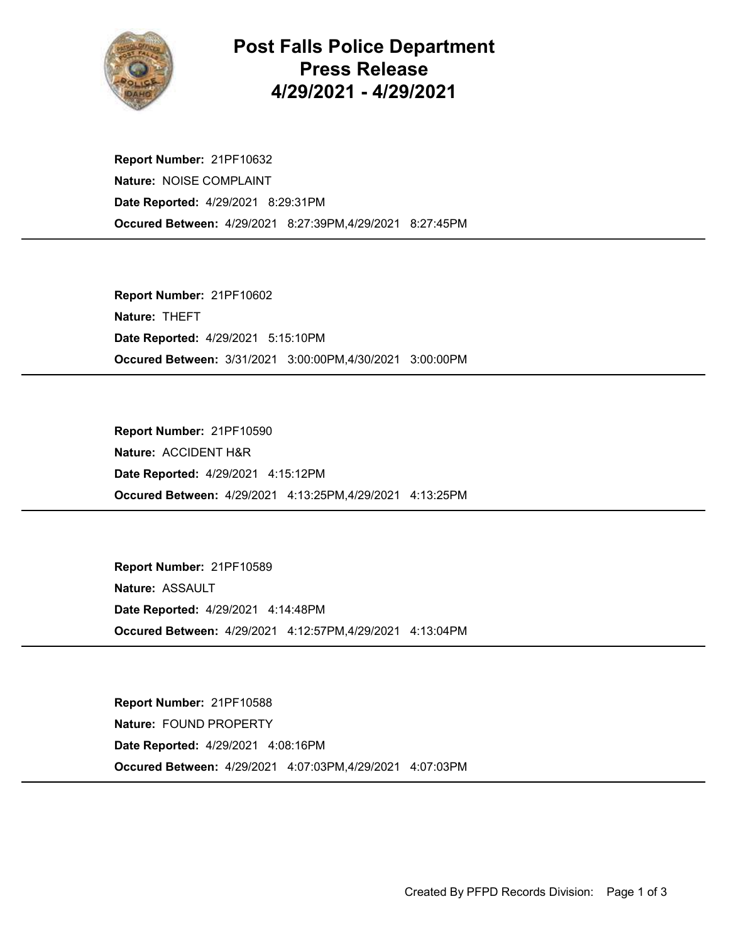

## Post Falls Police Department Press Release 4/29/2021 - 4/29/2021

Occured Between: 4/29/2021 8:27:39PM,4/29/2021 8:27:45PM Report Number: 21PF10632 Nature: NOISE COMPLAINT Date Reported: 4/29/2021 8:29:31PM

Occured Between: 3/31/2021 3:00:00PM,4/30/2021 3:00:00PM Report Number: 21PF10602 Nature: THEFT Date Reported: 4/29/2021 5:15:10PM

Occured Between: 4/29/2021 4:13:25PM,4/29/2021 4:13:25PM Report Number: 21PF10590 Nature: ACCIDENT H&R Date Reported: 4/29/2021 4:15:12PM

Occured Between: 4/29/2021 4:12:57PM,4/29/2021 4:13:04PM Report Number: 21PF10589 Nature: ASSAULT Date Reported: 4/29/2021 4:14:48PM

Occured Between: 4/29/2021 4:07:03PM,4/29/2021 4:07:03PM Report Number: 21PF10588 Nature: FOUND PROPERTY Date Reported: 4/29/2021 4:08:16PM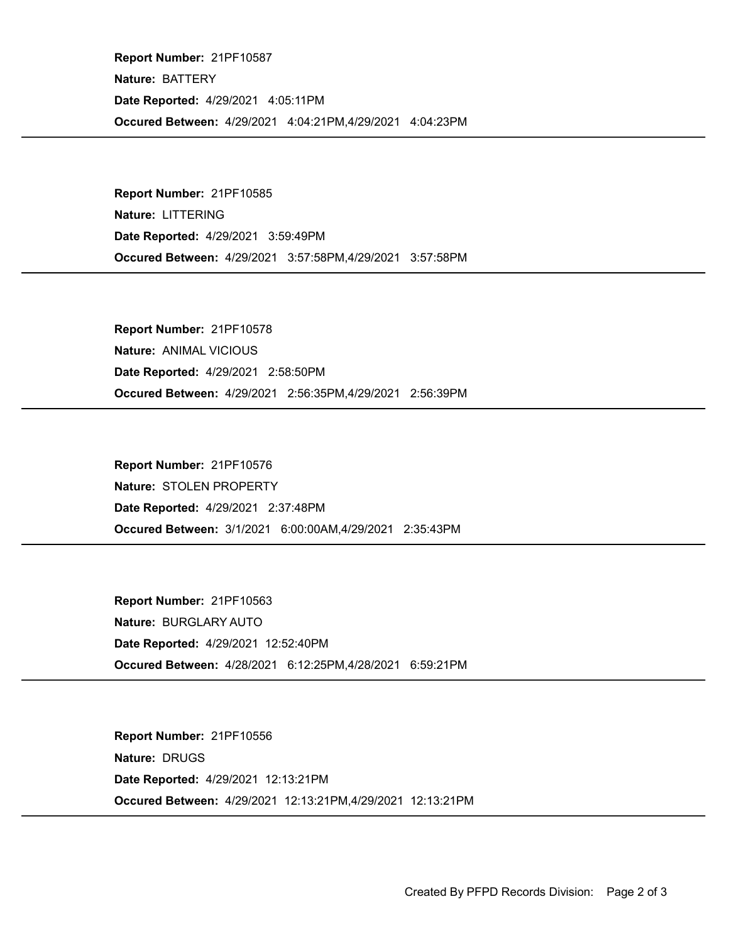Occured Between: 4/29/2021 4:04:21PM,4/29/2021 4:04:23PM Report Number: 21PF10587 Nature: BATTERY Date Reported: 4/29/2021 4:05:11PM

Occured Between: 4/29/2021 3:57:58PM,4/29/2021 3:57:58PM Report Number: 21PF10585 Nature: LITTERING Date Reported: 4/29/2021 3:59:49PM

Occured Between: 4/29/2021 2:56:35PM,4/29/2021 2:56:39PM Report Number: 21PF10578 Nature: ANIMAL VICIOUS Date Reported: 4/29/2021 2:58:50PM

Occured Between: 3/1/2021 6:00:00AM,4/29/2021 2:35:43PM Report Number: 21PF10576 Nature: STOLEN PROPERTY Date Reported: 4/29/2021 2:37:48PM

Occured Between: 4/28/2021 6:12:25PM,4/28/2021 6:59:21PM Report Number: 21PF10563 Nature: BURGLARY AUTO Date Reported: 4/29/2021 12:52:40PM

Occured Between: 4/29/2021 12:13:21PM,4/29/2021 12:13:21PM Report Number: 21PF10556 Nature: DRUGS Date Reported: 4/29/2021 12:13:21PM